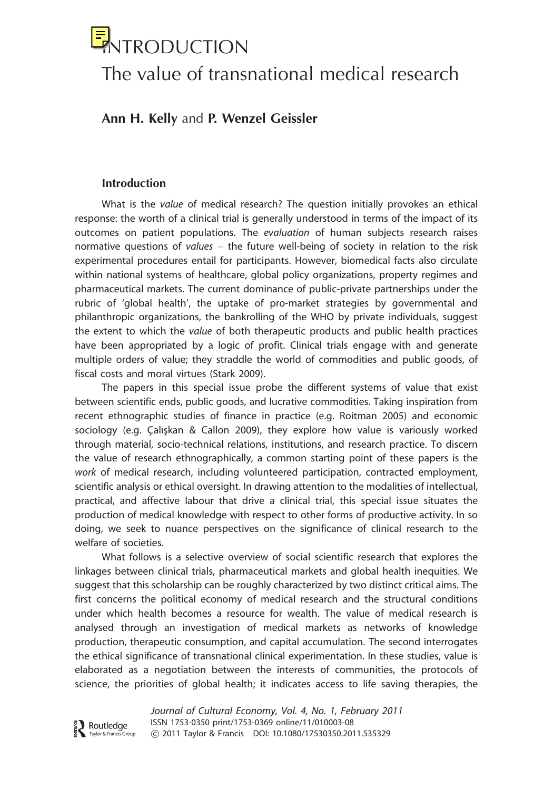# ENTRODUCTION The value of transnational medical research

# Ann H. Kelly and P. Wenzel Geissler

#### Introduction

What is the *value* of medical research? The question initially provokes an ethical response: the worth of a clinical trial is generally understood in terms of the impact of its outcomes on patient populations. The evaluation of human subjects research raises normative questions of values  $-$  the future well-being of society in relation to the risk experimental procedures entail for participants. However, biomedical facts also circulate within national systems of healthcare, global policy organizations, property regimes and pharmaceutical markets. The current dominance of public-private partnerships under the rubric of 'global health', the uptake of pro-market strategies by governmental and philanthropic organizations, the bankrolling of the WHO by private individuals, suggest the extent to which the value of both therapeutic products and public health practices have been appropriated by a logic of profit. Clinical trials engage with and generate multiple orders of value; they straddle the world of commodities and public goods, of fiscal costs and moral virtues (Stark 2009).

The papers in this special issue probe the different systems of value that exist between scientific ends, public goods, and lucrative commodities. Taking inspiration from recent ethnographic studies of finance in practice (e.g. Roitman 2005) and economic sociology (e.g. Çalışkan & Callon 2009), they explore how value is variously worked through material, socio-technical relations, institutions, and research practice. To discern the value of research ethnographically, a common starting point of these papers is the work of medical research, including volunteered participation, contracted employment, scientific analysis or ethical oversight. In drawing attention to the modalities of intellectual, practical, and affective labour that drive a clinical trial, this special issue situates the production of medical knowledge with respect to other forms of productive activity. In so doing, we seek to nuance perspectives on the significance of clinical research to the welfare of societies.

What follows is a selective overview of social scientific research that explores the linkages between clinical trials, pharmaceutical markets and global health inequities. We suggest that this scholarship can be roughly characterized by two distinct critical aims. The first concerns the political economy of medical research and the structural conditions under which health becomes a resource for wealth. The value of medical research is analysed through an investigation of medical markets as networks of knowledge production, therapeutic consumption, and capital accumulation. The second interrogates the ethical significance of transnational clinical experimentation. In these studies, value is elaborated as a negotiation between the interests of communities, the protocols of science, the priorities of global health; it indicates access to life saving therapies, the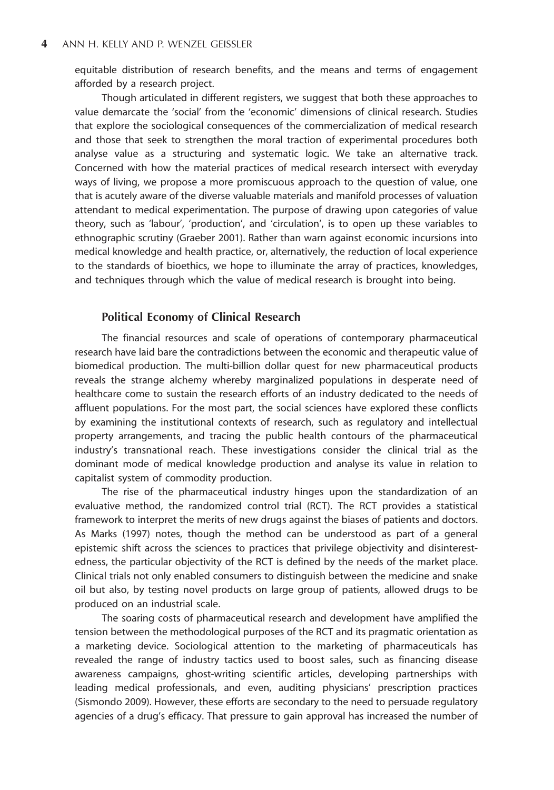equitable distribution of research benefits, and the means and terms of engagement afforded by a research project.

Though articulated in different registers, we suggest that both these approaches to value demarcate the 'social' from the 'economic' dimensions of clinical research. Studies that explore the sociological consequences of the commercialization of medical research and those that seek to strengthen the moral traction of experimental procedures both analyse value as a structuring and systematic logic. We take an alternative track. Concerned with how the material practices of medical research intersect with everyday ways of living, we propose a more promiscuous approach to the question of value, one that is acutely aware of the diverse valuable materials and manifold processes of valuation attendant to medical experimentation. The purpose of drawing upon categories of value theory, such as 'labour', 'production', and 'circulation', is to open up these variables to ethnographic scrutiny (Graeber 2001). Rather than warn against economic incursions into medical knowledge and health practice, or, alternatively, the reduction of local experience to the standards of bioethics, we hope to illuminate the array of practices, knowledges, and techniques through which the value of medical research is brought into being.

#### Political Economy of Clinical Research

The financial resources and scale of operations of contemporary pharmaceutical research have laid bare the contradictions between the economic and therapeutic value of biomedical production. The multi-billion dollar quest for new pharmaceutical products reveals the strange alchemy whereby marginalized populations in desperate need of healthcare come to sustain the research efforts of an industry dedicated to the needs of affluent populations. For the most part, the social sciences have explored these conflicts by examining the institutional contexts of research, such as regulatory and intellectual property arrangements, and tracing the public health contours of the pharmaceutical industry's transnational reach. These investigations consider the clinical trial as the dominant mode of medical knowledge production and analyse its value in relation to capitalist system of commodity production.

The rise of the pharmaceutical industry hinges upon the standardization of an evaluative method, the randomized control trial (RCT). The RCT provides a statistical framework to interpret the merits of new drugs against the biases of patients and doctors. As Marks (1997) notes, though the method can be understood as part of a general epistemic shift across the sciences to practices that privilege objectivity and disinterestedness, the particular objectivity of the RCT is defined by the needs of the market place. Clinical trials not only enabled consumers to distinguish between the medicine and snake oil but also, by testing novel products on large group of patients, allowed drugs to be produced on an industrial scale.

The soaring costs of pharmaceutical research and development have amplified the tension between the methodological purposes of the RCT and its pragmatic orientation as a marketing device. Sociological attention to the marketing of pharmaceuticals has revealed the range of industry tactics used to boost sales, such as financing disease awareness campaigns, ghost-writing scientific articles, developing partnerships with leading medical professionals, and even, auditing physicians' prescription practices (Sismondo 2009). However, these efforts are secondary to the need to persuade regulatory agencies of a drug's efficacy. That pressure to gain approval has increased the number of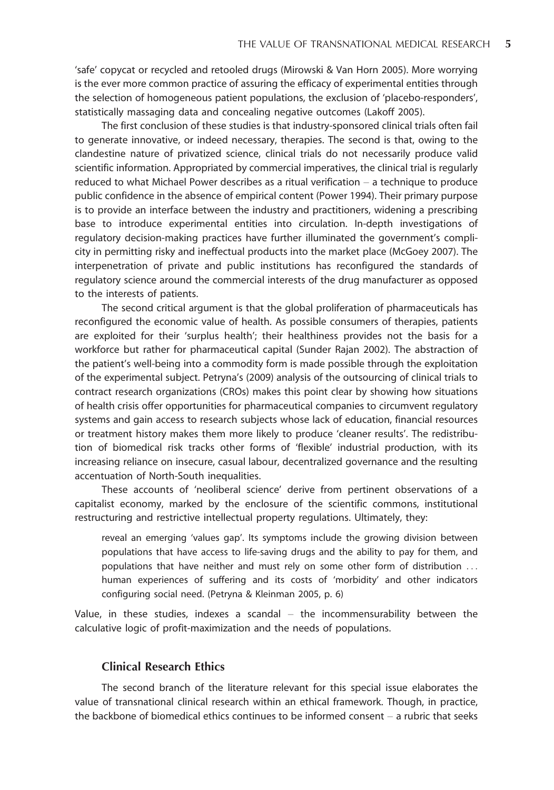'safe' copycat or recycled and retooled drugs (Mirowski & Van Horn 2005). More worrying is the ever more common practice of assuring the efficacy of experimental entities through the selection of homogeneous patient populations, the exclusion of 'placebo-responders', statistically massaging data and concealing negative outcomes (Lakoff 2005).

The first conclusion of these studies is that industry-sponsored clinical trials often fail to generate innovative, or indeed necessary, therapies. The second is that, owing to the clandestine nature of privatized science, clinical trials do not necessarily produce valid scientific information. Appropriated by commercial imperatives, the clinical trial is regularly reduced to what Michael Power describes as a ritual verification  $-$  a technique to produce public confidence in the absence of empirical content (Power 1994). Their primary purpose is to provide an interface between the industry and practitioners, widening a prescribing base to introduce experimental entities into circulation. In-depth investigations of regulatory decision-making practices have further illuminated the government's complicity in permitting risky and ineffectual products into the market place (McGoey 2007). The interpenetration of private and public institutions has reconfigured the standards of regulatory science around the commercial interests of the drug manufacturer as opposed to the interests of patients.

The second critical argument is that the global proliferation of pharmaceuticals has reconfigured the economic value of health. As possible consumers of therapies, patients are exploited for their 'surplus health'; their healthiness provides not the basis for a workforce but rather for pharmaceutical capital (Sunder Rajan 2002). The abstraction of the patient's well-being into a commodity form is made possible through the exploitation of the experimental subject. Petryna's (2009) analysis of the outsourcing of clinical trials to contract research organizations (CROs) makes this point clear by showing how situations of health crisis offer opportunities for pharmaceutical companies to circumvent regulatory systems and gain access to research subjects whose lack of education, financial resources or treatment history makes them more likely to produce 'cleaner results'. The redistribution of biomedical risk tracks other forms of 'flexible' industrial production, with its increasing reliance on insecure, casual labour, decentralized governance and the resulting accentuation of North-South inequalities.

These accounts of 'neoliberal science' derive from pertinent observations of a capitalist economy, marked by the enclosure of the scientific commons, institutional restructuring and restrictive intellectual property regulations. Ultimately, they:

reveal an emerging 'values gap'. Its symptoms include the growing division between populations that have access to life-saving drugs and the ability to pay for them, and populations that have neither and must rely on some other form of distribution ... human experiences of suffering and its costs of 'morbidity' and other indicators configuring social need. (Petryna & Kleinman 2005, p. 6)

Value, in these studies, indexes a scandal  $-$  the incommensurability between the calculative logic of profit-maximization and the needs of populations.

#### Clinical Research Ethics

The second branch of the literature relevant for this special issue elaborates the value of transnational clinical research within an ethical framework. Though, in practice, the backbone of biomedical ethics continues to be informed consent  $-$  a rubric that seeks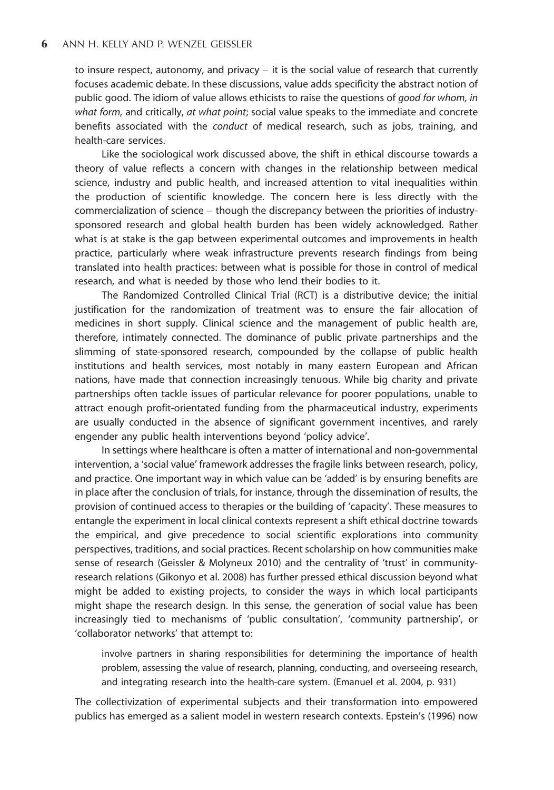to insure respect, autonomy, and privacy  $-$  it is the social value of research that currently focuses academic debate. In these discussions, value adds specificity the abstract notion of public good. The idiom of value allows ethicists to raise the questions of good for whom, in what form, and critically, at what point; social value speaks to the immediate and concrete benefits associated with the conduct of medical research, such as jobs, training, and health-care services.

Like the sociological work discussed above, the shift in ethical discourse towards a theory of value reflects a concern with changes in the relationship between medical science, industry and public health, and increased attention to vital inequalities within the production of scientific knowledge. The concern here is less directly with the commercialization of science – though the discrepancy between the priorities of industrysponsored research and global health burden has been widely acknowledged. Rather what is at stake is the gap between experimental outcomes and improvements in health practice, particularly where weak infrastructure prevents research findings from being translated into health practices: between what is possible for those in control of medical research, and what is needed by those who lend their bodies to it.

The Randomized Controlled Clinical Trial (RCT) is a distributive device; the initial justification for the randomization of treatment was to ensure the fair allocation of medicines in short supply. Clinical science and the management of public health are, therefore, intimately connected. The dominance of public private partnerships and the slimming of state-sponsored research, compounded by the collapse of public health institutions and health services, most notably in many eastern European and African nations, have made that connection increasingly tenuous. While big charity and private partnerships often tackle issues of particular relevance for poorer populations, unable to attract enough profit-orientated funding from the pharmaceutical industry, experiments are usually conducted in the absence of significant government incentives, and rarely engender any public health interventions beyond 'policy advice'.

In settings where healthcare is often a matter of international and non-governmental intervention, a 'social value' framework addresses the fragile links between research, policy, and practice. One important way in which value can be 'added' is by ensuring benefits are in place after the conclusion of trials, for instance, through the dissemination of results, the provision of continued access to therapies or the building of 'capacity'. These measures to entangle the experiment in local clinical contexts represent a shift ethical doctrine towards the empirical, and give precedence to social scientific explorations into community perspectives, traditions, and social practices. Recent scholarship on how communities make sense of research (Geissler & Molyneux 2010) and the centrality of 'trust' in communityresearch relations (Gikonyo et al. 2008) has further pressed ethical discussion beyond what might be added to existing projects, to consider the ways in which local participants might shape the research design. In this sense, the generation of social value has been increasingly tied to mechanisms of 'public consultation', 'community partnership', or 'collaborator networks' that attempt to:

involve partners in sharing responsibilities for determining the importance of health problem, assessing the value of research, planning, conducting, and overseeing research, and integrating research into the health-care system. (Emanuel et al. 2004, p. 931)

The collectivization of experimental subjects and their transformation into empowered publics has emerged as a salient model in western research contexts. Epstein's (1996) now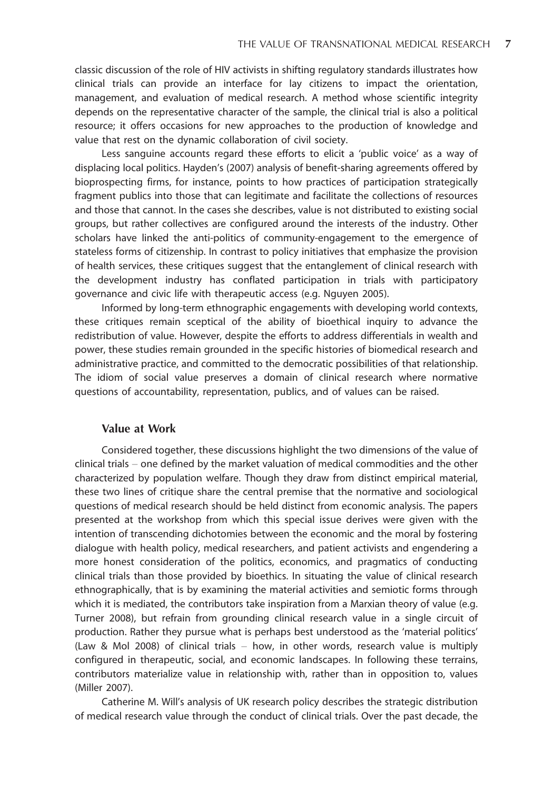classic discussion of the role of HIV activists in shifting regulatory standards illustrates how clinical trials can provide an interface for lay citizens to impact the orientation, management, and evaluation of medical research. A method whose scientific integrity depends on the representative character of the sample, the clinical trial is also a political resource; it offers occasions for new approaches to the production of knowledge and value that rest on the dynamic collaboration of civil society.

Less sanguine accounts regard these efforts to elicit a 'public voice' as a way of displacing local politics. Hayden's (2007) analysis of benefit-sharing agreements offered by bioprospecting firms, for instance, points to how practices of participation strategically fragment publics into those that can legitimate and facilitate the collections of resources and those that cannot. In the cases she describes, value is not distributed to existing social groups, but rather collectives are configured around the interests of the industry. Other scholars have linked the anti-politics of community-engagement to the emergence of stateless forms of citizenship. In contrast to policy initiatives that emphasize the provision of health services, these critiques suggest that the entanglement of clinical research with the development industry has conflated participation in trials with participatory governance and civic life with therapeutic access (e.g. Nguyen 2005).

Informed by long-term ethnographic engagements with developing world contexts, these critiques remain sceptical of the ability of bioethical inquiry to advance the redistribution of value. However, despite the efforts to address differentials in wealth and power, these studies remain grounded in the specific histories of biomedical research and administrative practice, and committed to the democratic possibilities of that relationship. The idiom of social value preserves a domain of clinical research where normative questions of accountability, representation, publics, and of values can be raised.

## Value at Work

Considered together, these discussions highlight the two dimensions of the value of clinical trials - one defined by the market valuation of medical commodities and the other characterized by population welfare. Though they draw from distinct empirical material, these two lines of critique share the central premise that the normative and sociological questions of medical research should be held distinct from economic analysis. The papers presented at the workshop from which this special issue derives were given with the intention of transcending dichotomies between the economic and the moral by fostering dialogue with health policy, medical researchers, and patient activists and engendering a more honest consideration of the politics, economics, and pragmatics of conducting clinical trials than those provided by bioethics. In situating the value of clinical research ethnographically, that is by examining the material activities and semiotic forms through which it is mediated, the contributors take inspiration from a Marxian theory of value (e.g. Turner 2008), but refrain from grounding clinical research value in a single circuit of production. Rather they pursue what is perhaps best understood as the 'material politics' (Law & Mol 2008) of clinical trials  $-$  how, in other words, research value is multiply configured in therapeutic, social, and economic landscapes. In following these terrains, contributors materialize value in relationship with, rather than in opposition to, values (Miller 2007).

Catherine M. Will's analysis of UK research policy describes the strategic distribution of medical research value through the conduct of clinical trials. Over the past decade, the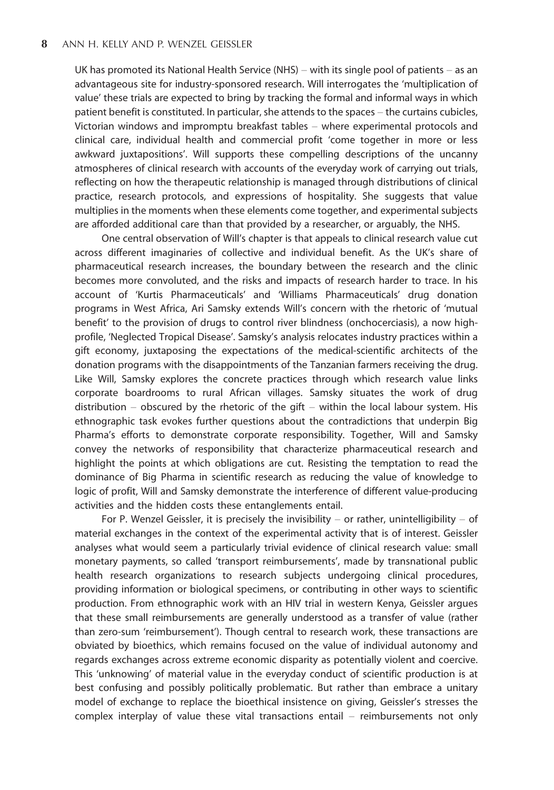UK has promoted its National Health Service (NHS)  $-$  with its single pool of patients  $-$  as an advantageous site for industry-sponsored research. Will interrogates the 'multiplication of value' these trials are expected to bring by tracking the formal and informal ways in which patient benefit is constituted. In particular, she attends to the spaces  $-$  the curtains cubicles, Victorian windows and impromptu breakfast tables - where experimental protocols and clinical care, individual health and commercial profit 'come together in more or less awkward juxtapositions'. Will supports these compelling descriptions of the uncanny atmospheres of clinical research with accounts of the everyday work of carrying out trials, reflecting on how the therapeutic relationship is managed through distributions of clinical practice, research protocols, and expressions of hospitality. She suggests that value multiplies in the moments when these elements come together, and experimental subjects are afforded additional care than that provided by a researcher, or arguably, the NHS.

One central observation of Will's chapter is that appeals to clinical research value cut across different imaginaries of collective and individual benefit. As the UK's share of pharmaceutical research increases, the boundary between the research and the clinic becomes more convoluted, and the risks and impacts of research harder to trace. In his account of 'Kurtis Pharmaceuticals' and 'Williams Pharmaceuticals' drug donation programs in West Africa, Ari Samsky extends Will's concern with the rhetoric of 'mutual benefit' to the provision of drugs to control river blindness (onchocerciasis), a now highprofile, 'Neglected Tropical Disease'. Samsky's analysis relocates industry practices within a gift economy, juxtaposing the expectations of the medical-scientific architects of the donation programs with the disappointments of the Tanzanian farmers receiving the drug. Like Will, Samsky explores the concrete practices through which research value links corporate boardrooms to rural African villages. Samsky situates the work of drug distribution  $-$  obscured by the rhetoric of the gift  $-$  within the local labour system. His ethnographic task evokes further questions about the contradictions that underpin Big Pharma's efforts to demonstrate corporate responsibility. Together, Will and Samsky convey the networks of responsibility that characterize pharmaceutical research and highlight the points at which obligations are cut. Resisting the temptation to read the dominance of Big Pharma in scientific research as reducing the value of knowledge to logic of profit, Will and Samsky demonstrate the interference of different value-producing activities and the hidden costs these entanglements entail.

For P. Wenzel Geissler, it is precisely the invisibility  $-$  or rather, unintelligibility  $-$  of material exchanges in the context of the experimental activity that is of interest. Geissler analyses what would seem a particularly trivial evidence of clinical research value: small monetary payments, so called 'transport reimbursements', made by transnational public health research organizations to research subjects undergoing clinical procedures, providing information or biological specimens, or contributing in other ways to scientific production. From ethnographic work with an HIV trial in western Kenya, Geissler argues that these small reimbursements are generally understood as a transfer of value (rather than zero-sum 'reimbursement'). Though central to research work, these transactions are obviated by bioethics, which remains focused on the value of individual autonomy and regards exchanges across extreme economic disparity as potentially violent and coercive. This 'unknowing' of material value in the everyday conduct of scientific production is at best confusing and possibly politically problematic. But rather than embrace a unitary model of exchange to replace the bioethical insistence on giving, Geissler's stresses the complex interplay of value these vital transactions entail  $-$  reimbursements not only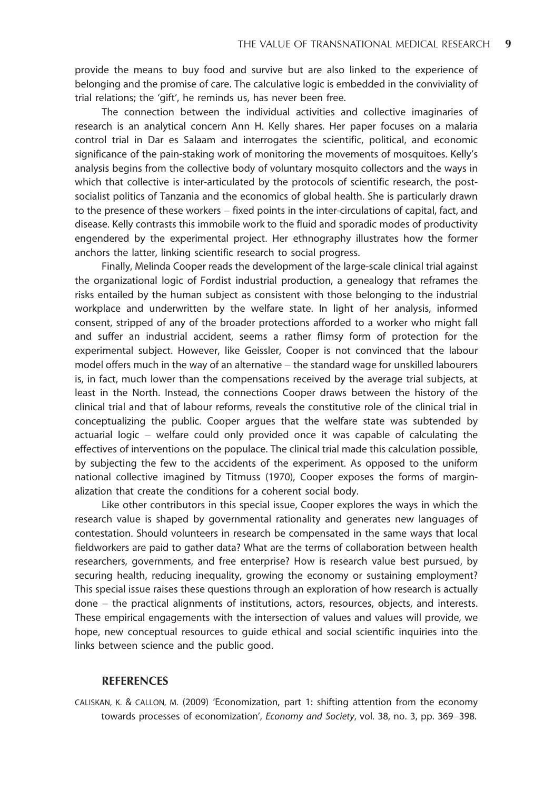provide the means to buy food and survive but are also linked to the experience of belonging and the promise of care. The calculative logic is embedded in the conviviality of trial relations; the 'gift', he reminds us, has never been free.

The connection between the individual activities and collective imaginaries of research is an analytical concern Ann H. Kelly shares. Her paper focuses on a malaria control trial in Dar es Salaam and interrogates the scientific, political, and economic significance of the pain-staking work of monitoring the movements of mosquitoes. Kelly's analysis begins from the collective body of voluntary mosquito collectors and the ways in which that collective is inter-articulated by the protocols of scientific research, the postsocialist politics of Tanzania and the economics of global health. She is particularly drawn to the presence of these workers – fixed points in the inter-circulations of capital, fact, and disease. Kelly contrasts this immobile work to the fluid and sporadic modes of productivity engendered by the experimental project. Her ethnography illustrates how the former anchors the latter, linking scientific research to social progress.

Finally, Melinda Cooper reads the development of the large-scale clinical trial against the organizational logic of Fordist industrial production, a genealogy that reframes the risks entailed by the human subject as consistent with those belonging to the industrial workplace and underwritten by the welfare state. In light of her analysis, informed consent, stripped of any of the broader protections afforded to a worker who might fall and suffer an industrial accident, seems a rather flimsy form of protection for the experimental subject. However, like Geissler, Cooper is not convinced that the labour model offers much in the way of an alternative  $-$  the standard wage for unskilled labourers is, in fact, much lower than the compensations received by the average trial subjects, at least in the North. Instead, the connections Cooper draws between the history of the clinical trial and that of labour reforms, reveals the constitutive role of the clinical trial in conceptualizing the public. Cooper argues that the welfare state was subtended by actuarial logic  $-$  welfare could only provided once it was capable of calculating the effectives of interventions on the populace. The clinical trial made this calculation possible, by subjecting the few to the accidents of the experiment. As opposed to the uniform national collective imagined by Titmuss (1970), Cooper exposes the forms of marginalization that create the conditions for a coherent social body.

Like other contributors in this special issue, Cooper explores the ways in which the research value is shaped by governmental rationality and generates new languages of contestation. Should volunteers in research be compensated in the same ways that local fieldworkers are paid to gather data? What are the terms of collaboration between health researchers, governments, and free enterprise? How is research value best pursued, by securing health, reducing inequality, growing the economy or sustaining employment? This special issue raises these questions through an exploration of how research is actually done – the practical alignments of institutions, actors, resources, objects, and interests. These empirical engagements with the intersection of values and values will provide, we hope, new conceptual resources to guide ethical and social scientific inquiries into the links between science and the public good.

## **REFERENCES**

CALISKAN, K. & CALLON, M. (2009) 'Economization, part 1: shifting attention from the economy towards processes of economization', Economy and Society, vol. 38, no. 3, pp. 369-398.